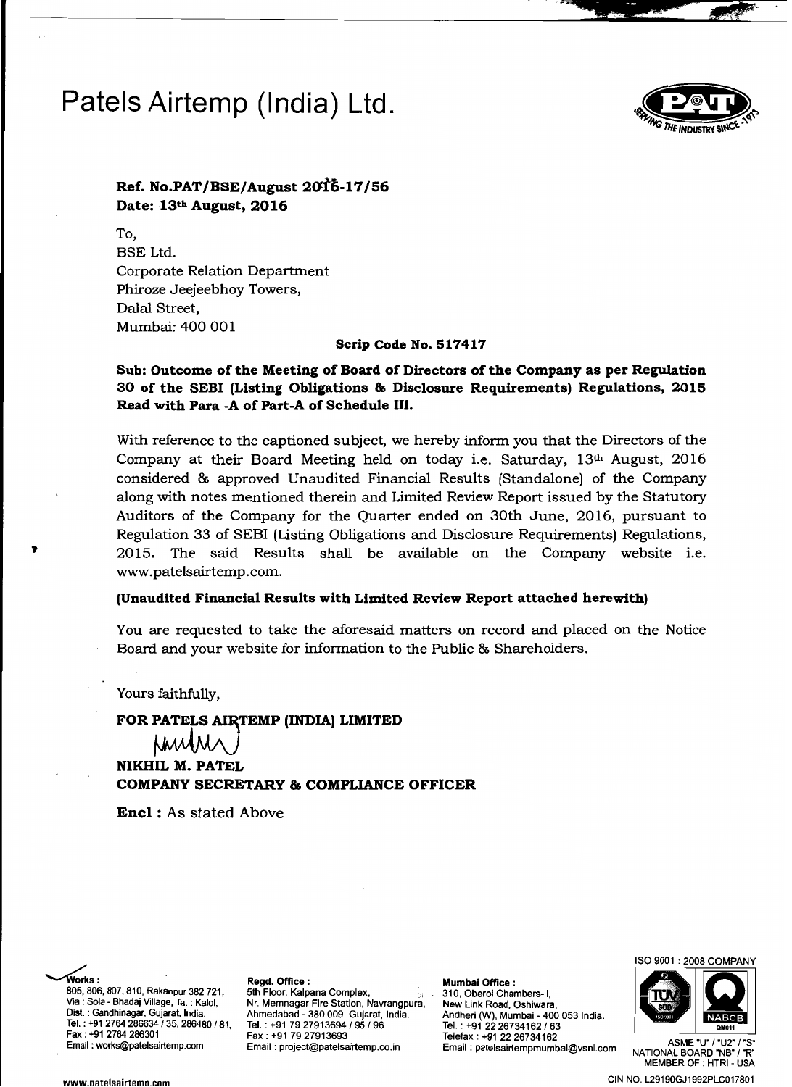# **Patels Airtemp (India) Ltd.**



...

-::. **24. 4 12** 

**Ref. No.PAT/BSE/August 2ail;.17/56 Date: 13th August, 2016** 

To, BSE Ltd. Corporate Relation Department Phiroze Jeejeebhoy Towers, Dalal Street, Mumbai: 400 001

**Scrip Code No. 517417** 

### **Sub: Outcome of the Meeting of Board of Directors of the Company as per Regulation 30 of the SEBI (Listing Obligations & Disclosure Requirements) Regulations, 2015 Read with Para -A of Part-A of Schedule III.**

With reference to the captioned subject, we hereby inform you that the Directors of the Company at their Board Meeting held on today i.e. Saturday,  $13<sup>th</sup>$  August, 2016 considered & approved Unaudited Financial Results (Standalone) of the Company along with notes mentioned therein and Limited Review Report issued by the Statutory Auditors of the Company for the Quarter ended on 30th June, 2016, pursuant to Regulation 33 of SEBI (Usting Obligations and Disclosure Requirements) Regulations, 2015. The said Results shall be available on the Company website i.e. www.patelsairtemp.com.

### **(Unaudited Financial Results with Limited Review Report attached herewith)**

You are requested to take the aforesaid matters on record and placed on the Notice Board and your website for information to the Public & Shareholders.

Yours faithfully,

FOR PATELS AIRTEMP (INDIA) LIMITED<br> $\downarrow \downarrow \downarrow \downarrow \downarrow \wedge \downarrow \wedge$ **NIKHIL M. PATEL COMPANY SECRETARY & COMPLIANCE OFFICER** 

**Enel:** As stated Above

works: Regd. Office: Regdes of Example 2014 805,806,807,810, Rakanpur 382721, 5th Floor, Kalpana Complex, 310, Oberoi Chambers-II, Tel. : +91 2764 286634135, 286480 181, Via : Sola - Bhadaj Village, Ta. : Kalol, Dist. : Gandhinagar, Gujarat, India. Fax: +91 2764 286301<br>Email: works@patelsairtemp.com

Ahmedabad - 380 009. Gujarat, Nr. Memnagar Fire Station, Navrangpura, Tel. : +91 7927913694/95196 India. Andheri Fax: +91 79 27913693<br>Email: project@patelsairtemp.co.in Filmail: patelsairtempmumt

Tel. : +91 New Link Road, Oshiwara, (W), Mumbai - 400 053 India.<br>| 22 26734162 / 63 Email: works@patelsairtemp.com ASME "U' 1'U2' "S' Email: project@patelsairtemp.co.in Email: patelsairtempmumbai@vsnl.com NATIONAL BOARD 'NB"'R'





**MEMBER OF : HTRI - USA** www.oatelsairtemo.com CIN NO. L29190GJ1992PLC017801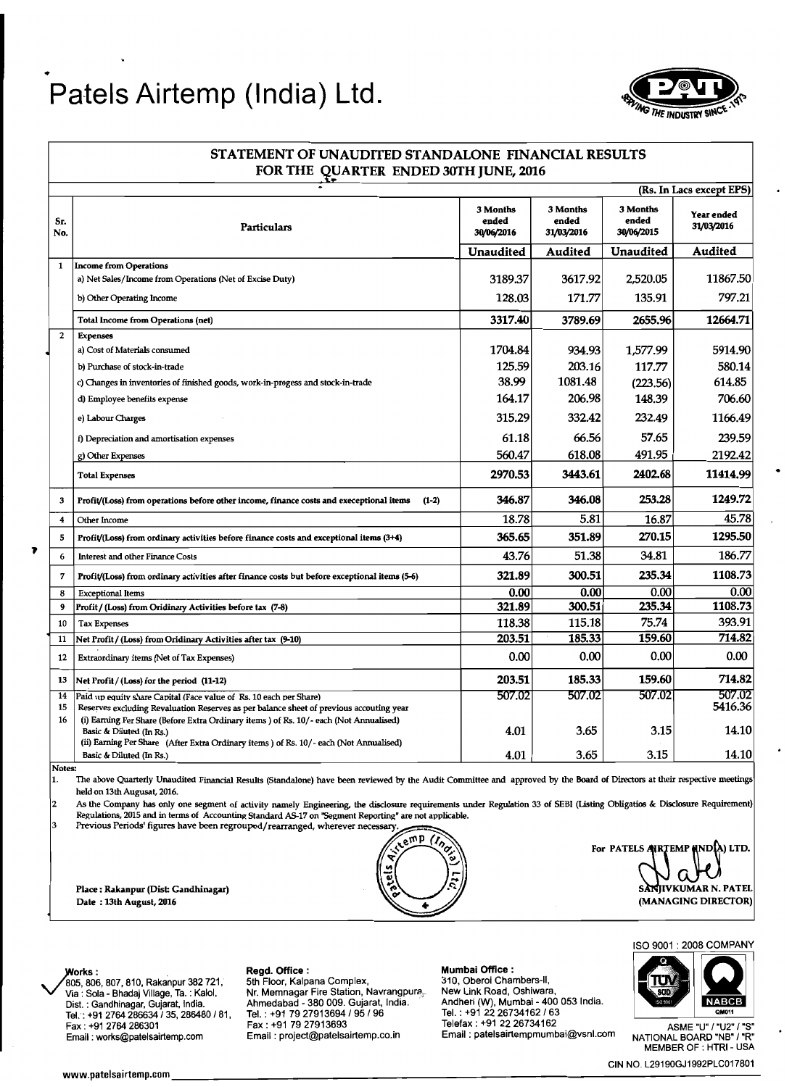## • **Patels Airtemp (India) Ltd.**



### STATEMENT OF UNAUDITED STANDALONE FINANCIAL RESULTS FOR THE QUARTER ENDED 30TH JUNE, 2016 (Rs. In Lacs except EPS) Particulars 3 Months ended 30/06/2016 3 Months ended 31/03/2016 3 Months ended 30/06/2015 Year ended 31/03/2016 Unaudited Audited Unaudited Audited 1 Income from Operations a) Net Sales/Income from Operations (Net of Excise Duty) 3189.37 3617.92 3617.92 2,520.05 11867.50 b) Other Operating Income 128.03 171.77 135.91 797.21 Total Income from Operations (net) 3317.40 3789.69 2655.96 12664.71

Sr.<br>No.

| $\overline{2}$     | <b>Expenses</b>                                                                                                                                                                                            |         |         |          |                   |
|--------------------|------------------------------------------------------------------------------------------------------------------------------------------------------------------------------------------------------------|---------|---------|----------|-------------------|
|                    | a) Cost of Materials consumed                                                                                                                                                                              | 1704.84 | 934.93  | 1,577.99 | 5914.90           |
|                    | b) Purchase of stock-in-trade                                                                                                                                                                              | 125.59  | 203.16  | 117.77   | 580.14            |
|                    | c) Changes in inventories of finished goods, work-in-progess and stock-in-trade                                                                                                                            | 38.99   | 1081.48 | (223.56) | 614.85            |
|                    | d) Employee benefits expense                                                                                                                                                                               | 164.17  | 206.98  | 148.39   | 706.60            |
|                    | e) Labour Charges                                                                                                                                                                                          | 315.29  | 332.42  | 232.49   | 1166.49           |
|                    | f) Depreciation and amortisation expenses                                                                                                                                                                  | 61.18   | 66.56   | 57.65    | 239.59            |
|                    | g) Other Expenses                                                                                                                                                                                          | 560.47  | 618.08  | 491.95   | 2192.42           |
|                    | <b>Total Expenses</b>                                                                                                                                                                                      | 2970.53 | 3443.61 | 2402.68  | 11414.99          |
| 3                  | Profit/(Loss) from operations before other income, finance costs and execeptional items<br>$(1-2)$                                                                                                         | 346.87  | 346.08  | 253.28   | 1249.72           |
| $\overline{\bf 4}$ | Other Income                                                                                                                                                                                               | 18.78   | 5.81    | 16.87    | 45.78             |
| 5                  | Profit/(Loss) from ordinary activities before finance costs and exceptional items (3+4)                                                                                                                    | 365.65  | 351.89  | 270.15   | 1295.50           |
| 6<br>7             | <b>Interest and other Finance Costs</b>                                                                                                                                                                    | 43.76   | 51.38   | 34.81    | 186.77            |
|                    | Profit/(Loss) from ordinary activities after finance costs but before exceptional items (5-6)                                                                                                              | 321.89  | 300.51  | 235.34   | 1108.73           |
| 8                  | <b>Exceptional Items</b>                                                                                                                                                                                   | 0.00    | 0.00    | 0.00     | 0.00              |
| 9                  | Profit / (Loss) from Oridinary Activities before tax (7-8)                                                                                                                                                 | 321.89  | 300.51  | 235.34   | 1108.73           |
| 10                 | <b>Tax Expenses</b>                                                                                                                                                                                        | 118.38  | 115.18  | 75.74    | 393.91            |
| 11                 | Net Profit / (Loss) from Oridinary Activities after tax (9-10)                                                                                                                                             | 203.51  | 185.33  | 159.60   | 714.82            |
| 12                 | Extraordinary items (Net of Tax Expenses)                                                                                                                                                                  | 0.00    | 0.00    | 0.00     | 0.00              |
| 13                 | Net Profit / (Loss) for the period (11-12)                                                                                                                                                                 | 203.51  | 185.33  | 159.60   | 714.82            |
| 14<br>15           | Paid up equity share Capital (Face value of Rs. 10 each per Share)<br>Reserves excluding Revaluation Reserves as per balance sheet of previous accouting year                                              | 507.02  | 507.02  | 507.02   | 507.02<br>5416.36 |
| 16                 | (i) Earning Per Share (Before Extra Ordinary items) of Rs. 10/- each (Not Annualised)<br>Basic & Diluted (In Rs.)<br>(ii) Earning Per Share (After Extra Ordinary items) of Rs. 10/- each (Not Annualised) | 4.01    | 3.65    | 3.15     | 14.10             |
|                    | Basic & Diluted (In Rs.)                                                                                                                                                                                   | 4.01    | 3.65    | 3.15     | 14.10             |
|                    |                                                                                                                                                                                                            |         |         |          |                   |

Notes:

The above Quarterly Unaudited Financial Results (Standalone) have been reviewed by the Audit Committee and approved by the Board of Directors at their respective meetings held on 13th Augusat, 2016.

2 As the Company has only one segment of activity namely Engineering, the disclosure requirements under Regulation 33 of SEBI (Listing Obligatios & Disclosure Requirement) Regulations, 2015 and in terms of Accounting Standard AS-17 on "Segment Reporting" are not applicable.

3 Previous Periods' figures have been regrouped/rearranged, wherever necessary.<br> **APP** 



For PATELS ARTEMP (INDIA) LTD. Place: Rakanpur (Dist: Gandhinagar) ... Place: Rakanpur (Dist: Gandhinagar) ... SANJIVKUMAR N. PATEL ... SANJIVKUMAR N. PATEL ... (MANAGING DIRECTOR)

ISO 9001 : 2008 COMPANY



MEMBER OF : HTRI - USA

CIN NO. L29190GJ1992PLC017801 www.patelsairtemp.com \_\_\_\_\_\_\_\_\_\_\_\_\_\_\_\_\_\_\_\_\_\_\_\_\_\_\_\_\_\_\_\_\_\_--------

Via: Sola - Bhadaj Village, Ta. : Kalol, Nr. Memnagar Fire Station, Navrangpura, Dist. : Gandhinagar, Gujarat, India. Tel.: +91 2764 266634/35, 266480 181, Tel. : +91 7927913694/95/96 Tel. : +91 22 26734162/63 Fax: +91 79 27913693 "Fax : +91 70 + "Leefax : +91 72 26734162 - "Felefax : +91 22 26734162 - "Felefax : +91 22 26734162<br>"Email : works@patelsairtemp.com Email : project@patelsairtemp.co.in - Email : patelsairtempmumbai@vsnl.com <sub>NATIONAL BO</sub>

Regd. Office: **Mumbai Office: Mumbai Office:** 5th Floor, Kalpana Complex, **Mumbai Office:** 310, Oberoi Chambers-II, 905,806,807,810, Rakanpur 382 721, Regd. Office :<br>805,806,807,810, Rakanpur 382 721, 5th Floor, Kalpana Complex, 310, Oberoi Chambers-II,<br>Via : Sola - Bhadai Village, Ta. : Kalol, Nr. Memnagar Fire Station, Navrangpura, N New Link Road, Oshiwara, Dis!. : Gandhinagar, Gujarat, India. Ahmedabad - 380009. Gujarat, India. Andheri (W), Mumbai 400 053 India. Fax: +91 2764 286301 ASME "U" 1"U2" 1"S"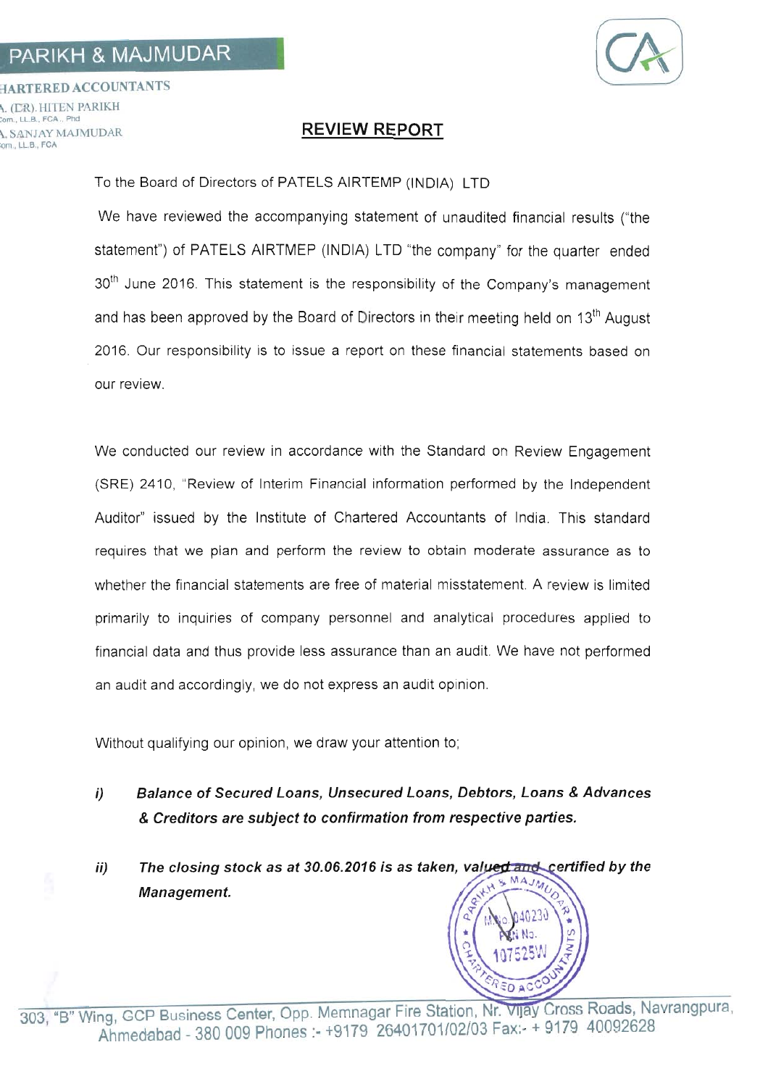## PARIKH & MAJMUDAR



**HARTERED ACCOUNTANTS** . (ER). HITEN PARIKH LLB., FCA., Phd A. SANJAY MAJMUDAR om., LL.B., FCA

## **REVIEW REPORT**

To the Board of Directors of PATELS AIRTEMP (INDIA) LTD

We have reviewed the accompanying statement of unaudited financial results ("the statement") of PATELS AIRTMEP (INDIA) LTD "the company" for the quarter ended 30<sup>th</sup> June 2016. This statement is the responsibility of the Company's management and has been approved by the Board of Directors in their meeting held on 13<sup>th</sup> August 2016. Our responsibility is to issue a report on these financial statements based on our review.

We conducted our review in accordance with the Standard on Review Engagement (SRE) 2410, "Review of Interim Financial information performed by the Independent Auditor" issued by the Institute of Chartered Accountants of India. This standard requires that we plan and perform the review to obtain moderate assurance as to whether the financial statements are free of material misstatement. A review is limited primarily to inquiries of company personnel and analytical procedures applied to financial data and thus provide less assurance than an audit. We have not performed an audit and accordingly, we do not express an audit opinion.

Without qualifying our opinion, we draw your attention to:

- Balance of Secured Loans. Unsecured Loans. Debtors. Loans & Advances  $i)$ & Creditors are subject to confirmation from respective parties.
- $ii)$ The closing stock as at 30.06.2016 is as taken, valued and certified by the MAJMU Management.